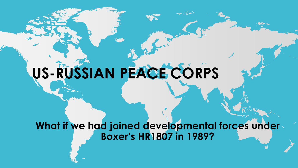# **US-RUSSIAN PEACE CORPS**

### **What if we had joined developmental forces under Boxer's HR1807 in 1989?**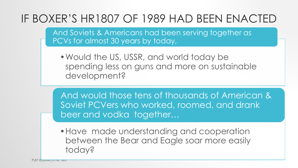### IF BOXER'S HR1807 OF 1989 HAD BEEN ENACTED

And Soviets & Americans had been serving together as PCVs for almost 30 years by today,

•Would the US, USSR, and world today be spending less on guns and more on sustainable development?

And would those tens of thousands of American & Soviet PCVers who worked, roomed, and drank beer and vodka together…

•Have made understanding and cooperation between the Bear and Eagle soar more easily today?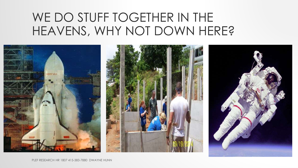### WE DO STUFF TOGETHER IN THE HEAVENS, WHY NOT DOWN HERE?

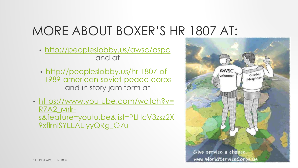# MORE ABOUT BOXER'S HR 1807 AT:

- <http://peopleslobby.us/awsc/aspc> and at
- http://peopleslobby.us/hr-1807-of-[1989-american-soviet-peace-corps](http://peopleslobby.us/hr-1807-of-1989-american-soviet-peace-corps) and in story jam form at
- https://www.youtube.com/watch?v= R7A2\_Mrlr[s&feature=youtu.be&list=PLHcV3zsz2X](https://www.youtube.com/watch?v=R7A2_Mrlr-s&feature=youtu.be&list=PLHcV3zsz2X9xflrnISYEEAElyyQRg_O7u) 9xflrnISYEEAElyyQRg\_O7u

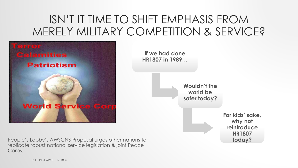### ISN'T IT TIME TO SHIFT EMPHASIS FROM MERELY MILITARY COMPETITION & SERVICE?



People's Lobby's AWSCNS Proposal urges other nations to **today?** replicate robust national service legislation & joint Peace Corps.

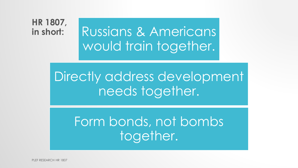#### **HR 1807, in short:**

Russians & Americans would train together.

# Directly address development needs together.

# Form bonds, not bombs together.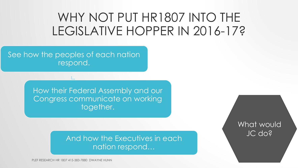### WHY NOT PUT HR1807 INTO THE LEGISLATIVE HOPPER IN 2016-17?

See how the peoples of each nation respond.

> How their Federal Assembly and our Congress communicate on working together.

> > And how the Executives in each nation respond…

What would JC do?